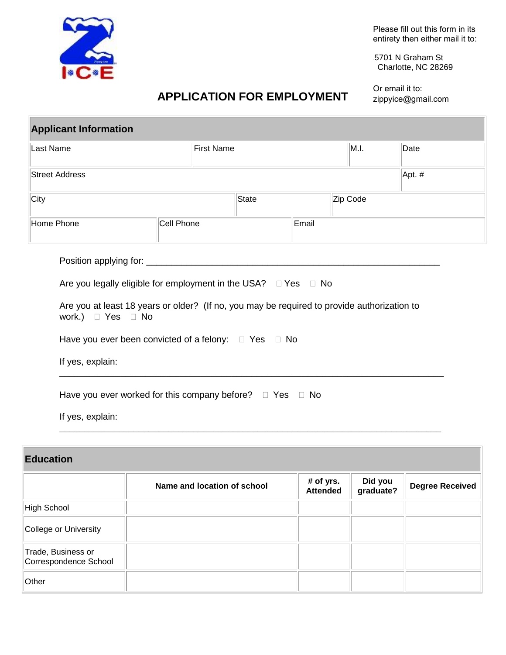

Please fill out this form in its entirety then either mail it to:

5701 N Graham St Charlotte, NC 28269

## **APPLICATION FOR EMPLOYMENT**

Or email it to: zippyice@gmail.com

| <b>Applicant Information</b> |                                                                                                                                                               |                   |          |      |          |
|------------------------------|---------------------------------------------------------------------------------------------------------------------------------------------------------------|-------------------|----------|------|----------|
| Last Name                    |                                                                                                                                                               | <b>First Name</b> |          | M.I. | Date     |
| <b>Street Address</b>        |                                                                                                                                                               |                   |          |      | Apt. $#$ |
| City                         |                                                                                                                                                               | State             | Zip Code |      |          |
| Home Phone                   | Cell Phone                                                                                                                                                    |                   | Email    |      |          |
| work.) $\Box$ Yes $\Box$ No  | Are you legally eligible for employment in the USA? □ Yes □ No<br>Are you at least 18 years or older? (If no, you may be required to provide authorization to |                   |          |      |          |
| If yes, explain:             | Have you ever been convicted of a felony: $\Box$ Yes $\Box$ No                                                                                                |                   |          |      |          |
|                              | Have you ever worked for this company before? $\Box$ Yes $\Box$ No                                                                                            |                   |          |      |          |
| If yes, explain:             |                                                                                                                                                               |                   |          |      |          |

## **Education**

|                                             | Name and location of school | # of yrs.<br><b>Attended</b> | Did you<br>graduate? | <b>Degree Received</b> |
|---------------------------------------------|-----------------------------|------------------------------|----------------------|------------------------|
| High School                                 |                             |                              |                      |                        |
| College or University                       |                             |                              |                      |                        |
| Trade, Business or<br>Correspondence School |                             |                              |                      |                        |
| Other                                       |                             |                              |                      |                        |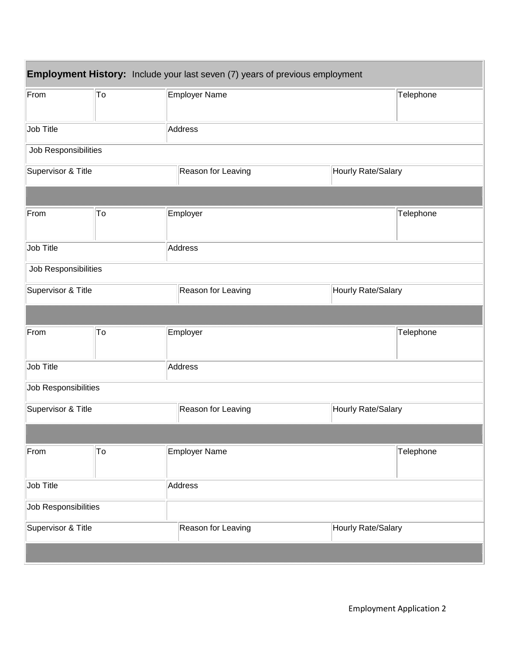| <b>Employment History:</b> Include your last seven (7) years of previous employment |    |                    |                    |  |  |
|-------------------------------------------------------------------------------------|----|--------------------|--------------------|--|--|
| From                                                                                | To | Employer Name      | Telephone          |  |  |
| Job Title                                                                           |    | Address            |                    |  |  |
| Job Responsibilities                                                                |    |                    |                    |  |  |
| Supervisor & Title                                                                  |    | Reason for Leaving | Hourly Rate/Salary |  |  |
|                                                                                     |    |                    |                    |  |  |
| From                                                                                | To | Employer           | Telephone          |  |  |
| Job Title                                                                           |    | Address            |                    |  |  |
| Job Responsibilities                                                                |    |                    |                    |  |  |
| Supervisor & Title                                                                  |    | Reason for Leaving | Hourly Rate/Salary |  |  |
|                                                                                     |    |                    |                    |  |  |
| From                                                                                | To | Employer           | Telephone          |  |  |
| Job Title                                                                           |    | Address            |                    |  |  |
| Job Responsibilities                                                                |    |                    |                    |  |  |
| Supervisor & Title                                                                  |    | Reason for Leaving | Hourly Rate/Salary |  |  |
|                                                                                     |    |                    |                    |  |  |
| From                                                                                | To | Employer Name      | Telephone          |  |  |
| Job Title                                                                           |    | Address            |                    |  |  |
| Job Responsibilities                                                                |    |                    |                    |  |  |
| Supervisor & Title                                                                  |    | Reason for Leaving | Hourly Rate/Salary |  |  |
|                                                                                     |    |                    |                    |  |  |